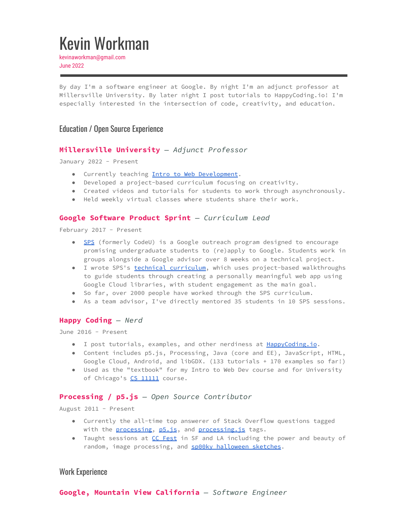# Kevin Workman

kevinaworkman@gmail.com June 2022

By day I'm a software engineer at Google. By night I'm an adjunct professor at Millersville University. By later night I post tutorials to HappyCoding.io! I'm especially interested in the intersection of code, creativity, and education.

# Education / Open Source Experience

## **Millersville University** *— Adjunct Professor*

January 2022 - Present

- Currently teaching Intro to Web [Development](https://happycoding.io/teaching/intro-to-web-dev/).
- Developed a project-based curriculum focusing on creativity.
- Created videos and tutorials for students to work through asynchronously.
- Held weekly virtual classes where students share their work.

#### **Google Software Product Sprint** *— Curriculum Lead*

February 2017 - Present

- [SPS](https://buildyourfuture.withgoogle.com/programs/softwareproductsprint/) (formerly CodeU) is a Google outreach program designed to encourage promising undergraduate students to (re)apply to Google. Students work in groups alongside a Google advisor over 8 weeks on a technical project.
- I wrote SPS's technical [curriculum,](https://github.com/google/software-product-sprint) which uses project-based walkthroughs to guide students through creating a personally meaningful web app using Google Cloud libraries, with student engagement as the main goal.
- So far, over 2000 people have worked through the SPS curriculum.
- As a team advisor, I've directly mentored 35 students in 10 SPS sessions.

#### **Happy Coding** *— Nerd*

June 2016 - Present

- I post tutorials, examples, and other nerdiness at [HappyCoding.io](https://happycoding.io).
- Content includes p5.js, Processing, Java (core and EE), JavaScript, HTML, Google Cloud, Android, and libGDX. (133 tutorials + 170 examples so far!)
- Used as the "textbook" for my Intro to Web Dev course and for University of Chicago's CS [11111](http://cs111.org) course.

## **Processing / p5.js** *— Open Source Contributor*

August 2011 - Present

- Currently the all-time top answerer of Stack Overflow questions tagged with the [processing,](https://stackoverflow.com/tags/processing/topusers) [p5.js](https://stackoverflow.com/tags/p5.js/topusers), and [processing.js](https://stackoverflow.com/tags/processing.js/topusers) tags.
- Taught sessions at CC [Fest](https://ccfest.rocks/) in SF and LA including the power and beauty of random, image processing, and **sp00ky [halloween](https://tinyurl.com/p5-spooky-sketches) sketches**.

## Work Experience

**Google, Mountain View California** *— Software Engineer*